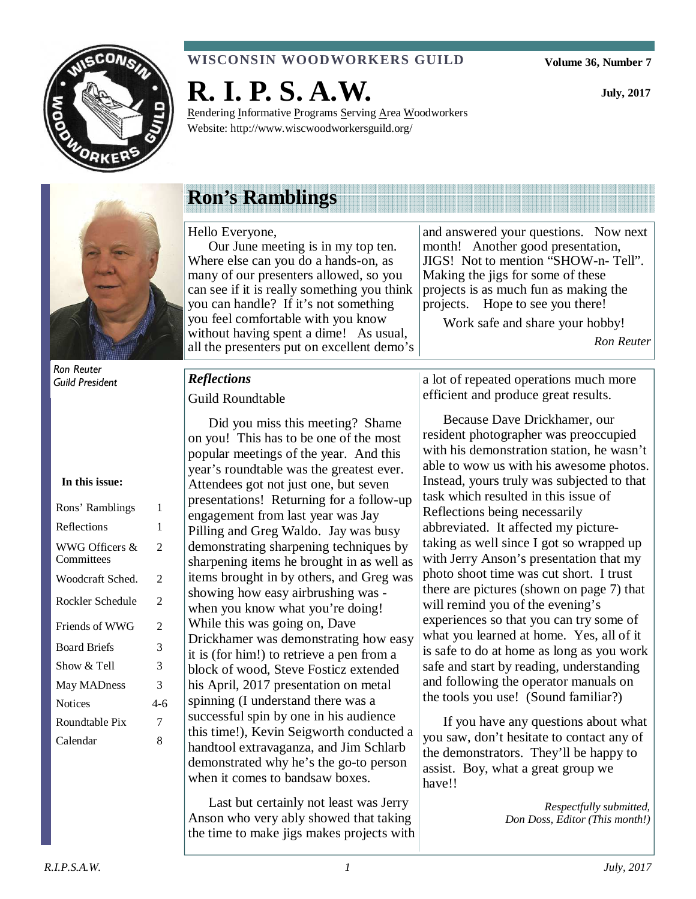

### **WISCONSIN WOODWORKERS GUILD**

**R. I. P. S. A.W.** 

Rendering Informative Programs Serving Area Woodworkers Website: http://www.wiscwoodworkersguild.org/

**July, 2017** 



Ron Reuter Guild President

#### **In this issue:**

| Rons' Ramblings              | 1   |
|------------------------------|-----|
| Reflections                  | 1   |
| WWG Officers &<br>Committees | 2   |
| Woodcraft Sched.             | 2   |
| Rockler Schedule             | 2   |
| Friends of WWG               | 2   |
| <b>Board Briefs</b>          | 3   |
| Show $\&$ Tell               | 3   |
| May MADness                  | 3   |
| <b>Notices</b>               | 4-6 |
| Roundtable Pix               | 7   |
| Calendar                     | 8   |

# **Ron's Ramblings**

#### Hello Everyone,

Our June meeting is in my top ten. Where else can you do a hands-on, as many of our presenters allowed, so you can see if it is really something you think you can handle? If it's not something you feel comfortable with you know without having spent a dime! As usual, all the presenters put on excellent demo's

and answered your questions. Now next month! Another good presentation, JIGS! Not to mention "SHOW-n- Tell". Making the jigs for some of these projects is as much fun as making the projects. Hope to see you there!

Work safe and share your hobby!

*Ron Reuter* 

## *Reflections*

#### Guild Roundtable

Did you miss this meeting? Shame on you! This has to be one of the most popular meetings of the year. And this year's roundtable was the greatest ever. Attendees got not just one, but seven presentations! Returning for a follow-up engagement from last year was Jay Pilling and Greg Waldo. Jay was busy demonstrating sharpening techniques by sharpening items he brought in as well as items brought in by others, and Greg was showing how easy airbrushing was when you know what you're doing! While this was going on, Dave Drickhamer was demonstrating how easy it is (for him!) to retrieve a pen from a block of wood, Steve Fosticz extended his April, 2017 presentation on metal spinning (I understand there was a successful spin by one in his audience this time!), Kevin Seigworth conducted a handtool extravaganza, and Jim Schlarb demonstrated why he's the go-to person when it comes to bandsaw boxes.

Last but certainly not least was Jerry Anson who very ably showed that taking the time to make jigs makes projects with

a lot of repeated operations much more efficient and produce great results.

Because Dave Drickhamer, our resident photographer was preoccupied with his demonstration station, he wasn't able to wow us with his awesome photos. Instead, yours truly was subjected to that task which resulted in this issue of Reflections being necessarily abbreviated. It affected my picturetaking as well since I got so wrapped up with Jerry Anson's presentation that my photo shoot time was cut short. I trust there are pictures (shown on page 7) that will remind you of the evening's experiences so that you can try some of what you learned at home. Yes, all of it is safe to do at home as long as you work safe and start by reading, understanding and following the operator manuals on the tools you use! (Sound familiar?)

If you have any questions about what you saw, don't hesitate to contact any of the demonstrators. They'll be happy to assist. Boy, what a great group we have!!

> *Respectfully submitted, Don Doss, Editor (This month!)*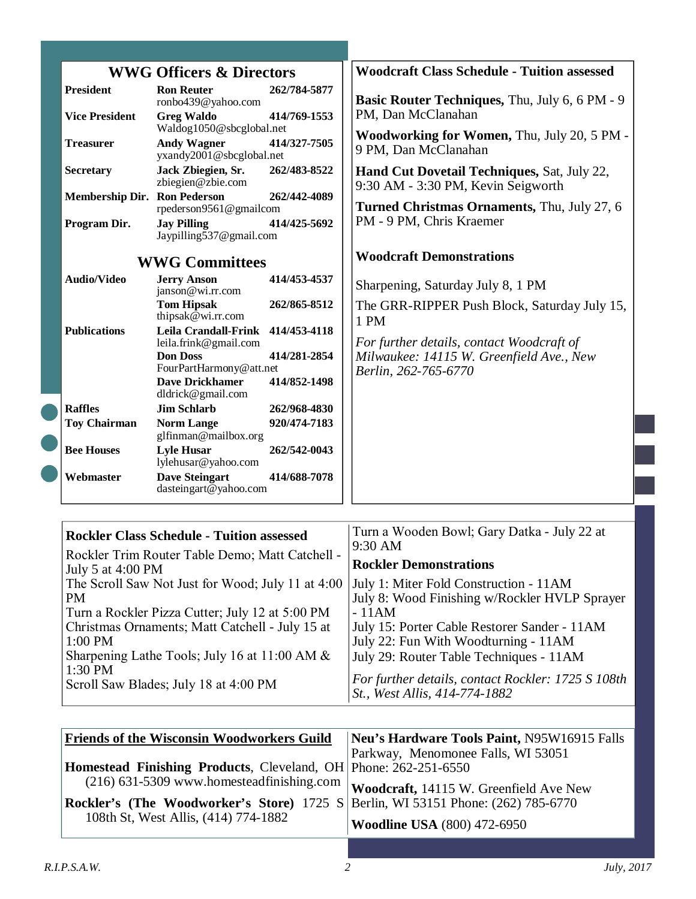|                                           | <b>WWG Officers &amp; Directors</b>                                                       |                              | <b>Woodcraft Class Schedule - Tuition assessed</b>                                       |
|-------------------------------------------|-------------------------------------------------------------------------------------------|------------------------------|------------------------------------------------------------------------------------------|
| <b>President</b><br><b>Vice President</b> | <b>Ron Reuter</b><br>ronbo439@yahoo.com<br><b>Greg Waldo</b><br>Waldog1050@sbcglobal.net  | 262/784-5877<br>414/769-1553 | <b>Basic Router Techniques, Thu, July 6, 6 PM - 9</b><br>PM, Dan McClanahan              |
| <b>Treasurer</b>                          | <b>Andy Wagner</b><br>yxandy2001@sbcglobal.net                                            | 414/327-7505                 | <b>Woodworking for Women, Thu, July 20, 5 PM -</b><br>9 PM, Dan McClanahan               |
| <b>Secretary</b>                          | Jack Zbiegien, Sr.<br>zbiegien@zbie.com                                                   | 262/483-8522                 | <b>Hand Cut Dovetail Techniques, Sat, July 22,</b><br>9:30 AM - 3:30 PM, Kevin Seigworth |
| <b>Membership Dir. Ron Pederson</b>       | rpederson9561@gmailcom                                                                    | 262/442-4089                 | Turned Christmas Ornaments, Thu, July 27, 6                                              |
| Program Dir.                              | <b>Jay Pilling</b><br>Jaypilling537@gmail.com                                             | 414/425-5692                 | PM - 9 PM, Chris Kraemer                                                                 |
|                                           | <b>WWG Committees</b>                                                                     |                              | <b>Woodcraft Demonstrations</b>                                                          |
| <b>Audio/Video</b>                        | <b>Jerry Anson</b><br>janson@wi.rr.com                                                    | 414/453-4537                 | Sharpening, Saturday July 8, 1 PM                                                        |
|                                           | <b>Tom Hipsak</b><br>thipsak $@$ wi.rr.com                                                | 262/865-8512                 | The GRR-RIPPER Push Block, Saturday July 15,<br>1 PM                                     |
| <b>Publications</b>                       | <b>Leila Crandall-Frink</b><br>leila.frink@gmail.com                                      | 414/453-4118                 | For further details, contact Woodcraft of                                                |
|                                           | <b>Don Doss</b><br>FourPartHarmony@att.net<br><b>Dave Drickhamer</b><br>dldrick@gmail.com | 414/281-2854<br>414/852-1498 | Milwaukee: 14115 W. Greenfield Ave., New<br>Berlin, 262-765-6770                         |
| <b>Raffles</b>                            | <b>Jim Schlarb</b>                                                                        | 262/968-4830                 |                                                                                          |
| <b>Toy Chairman</b>                       | <b>Norm Lange</b><br>glfinman@mailbox.org                                                 | 920/474-7183                 |                                                                                          |
| <b>Bee Houses</b>                         | <b>Lyle Husar</b><br>lylehusar@yahoo.com                                                  | 262/542-0043                 |                                                                                          |
| Webmaster                                 | <b>Dave Steingart</b><br>dasteingart@yahoo.com                                            | 414/688-7078                 |                                                                                          |

| <b>Rockler Class Schedule - Tuition assessed</b>                     | Turn a Wooden Bowl; Gary Datka - July 22 at<br>$9:30$ AM |
|----------------------------------------------------------------------|----------------------------------------------------------|
| Rockler Trim Router Table Demo; Matt Catchell -<br>July 5 at 4:00 PM | <b>Rockler Demonstrations</b>                            |
| The Scroll Saw Not Just for Wood; July 11 at 4:00                    | July 1: Miter Fold Construction - 11AM                   |
| <b>PM</b>                                                            | July 8: Wood Finishing w/Rockler HVLP Sprayer            |
| Turn a Rockler Pizza Cutter; July 12 at 5:00 PM                      | $-11AM$                                                  |
| Christmas Ornaments; Matt Catchell - July 15 at                      | July 15: Porter Cable Restorer Sander - 11AM             |
| $1:00$ PM                                                            | July 22: Fun With Woodturning - 11AM                     |
| Sharpening Lathe Tools; July 16 at 11:00 AM $&$                      | July 29: Router Table Techniques - 11AM                  |
| 1:30 PM                                                              | For further details, contact Rockler: 1725 S 108th       |
| Scroll Saw Blades; July 18 at 4:00 PM                                | St., West Allis, 414-774-1882                            |

| <b>Friends of the Wisconsin Woodworkers Guild</b>                                         | Neu's Hardware Tools Paint, N95W16915 Falls |
|-------------------------------------------------------------------------------------------|---------------------------------------------|
|                                                                                           | Parkway, Menomonee Falls, WI 53051          |
| <b>Homestead Finishing Products, Cleveland, OH Phone: 262-251-6550</b>                    |                                             |
| $(216)$ 631-5309 www.homesteadfinishing.com                                               | Woodcraft, 14115 W. Greenfield Ave New      |
| <b>Rockler's (The Woodworker's Store)</b> 1725 S Berlin, WI 53151 Phone: $(262)$ 785-6770 |                                             |
| 108th St, West Allis, (414) 774-1882                                                      | <b>Woodline USA</b> (800) 472-6950          |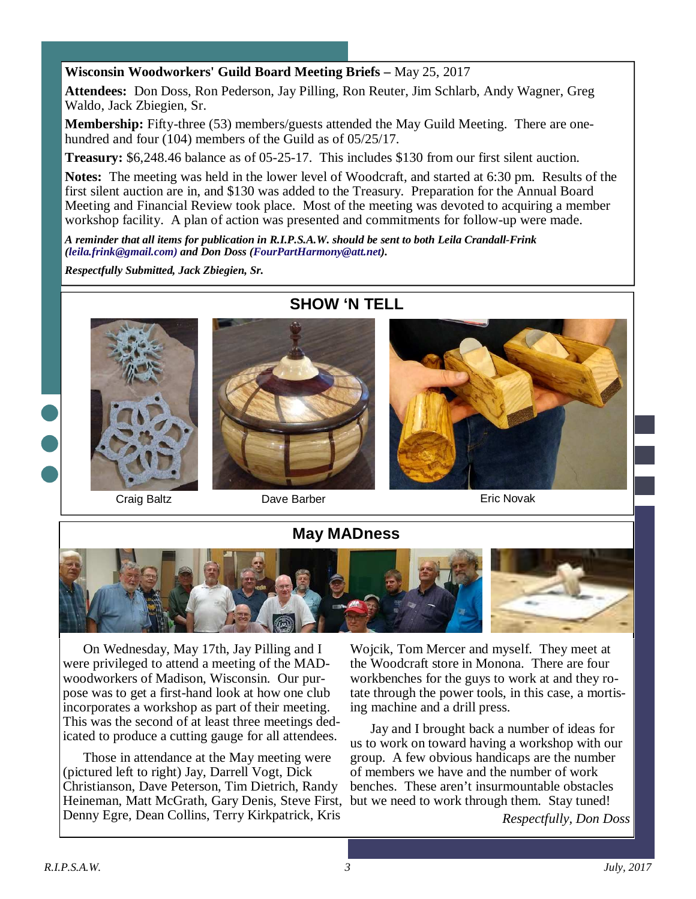#### **Wisconsin Woodworkers' Guild Board Meeting Briefs –** May 25, 2017

**Attendees:** Don Doss, Ron Pederson, Jay Pilling, Ron Reuter, Jim Schlarb, Andy Wagner, Greg Waldo, Jack Zbiegien, Sr.

**Membership:** Fifty-three (53) members/guests attended the May Guild Meeting. There are onehundred and four (104) members of the Guild as of 05/25/17.

**Treasury:** \$6,248.46 balance as of 05-25-17. This includes \$130 from our first silent auction.

**Notes:** The meeting was held in the lower level of Woodcraft, and started at 6:30 pm. Results of the first silent auction are in, and \$130 was added to the Treasury. Preparation for the Annual Board Meeting and Financial Review took place. Most of the meeting was devoted to acquiring a member workshop facility. A plan of action was presented and commitments for follow-up were made.

*A reminder that all items for publication in R.I.P.S.A.W. should be sent to both Leila Crandall-Frink (leila.frink@gmail.com) and Don Doss (FourPartHarmony@att.net).* 

*Respectfully Submitted, Jack Zbiegien, Sr.* 





Craig Baltz **Dave Barber Craig Baltz Eric Novak** 

## **May MADness**



On Wednesday, May 17th, Jay Pilling and I were privileged to attend a meeting of the MADwoodworkers of Madison, Wisconsin. Our purpose was to get a first-hand look at how one club incorporates a workshop as part of their meeting. This was the second of at least three meetings dedicated to produce a cutting gauge for all attendees.

Those in attendance at the May meeting were (pictured left to right) Jay, Darrell Vogt, Dick Christianson, Dave Peterson, Tim Dietrich, Randy Heineman, Matt McGrath, Gary Denis, Steve First, Denny Egre, Dean Collins, Terry Kirkpatrick, Kris

Wojcik, Tom Mercer and myself. They meet at the Woodcraft store in Monona. There are four workbenches for the guys to work at and they rotate through the power tools, in this case, a mortising machine and a drill press.

Jay and I brought back a number of ideas for us to work on toward having a workshop with our group. A few obvious handicaps are the number of members we have and the number of work benches. These aren't insurmountable obstacles but we need to work through them. Stay tuned!

*Respectfully, Don Doss*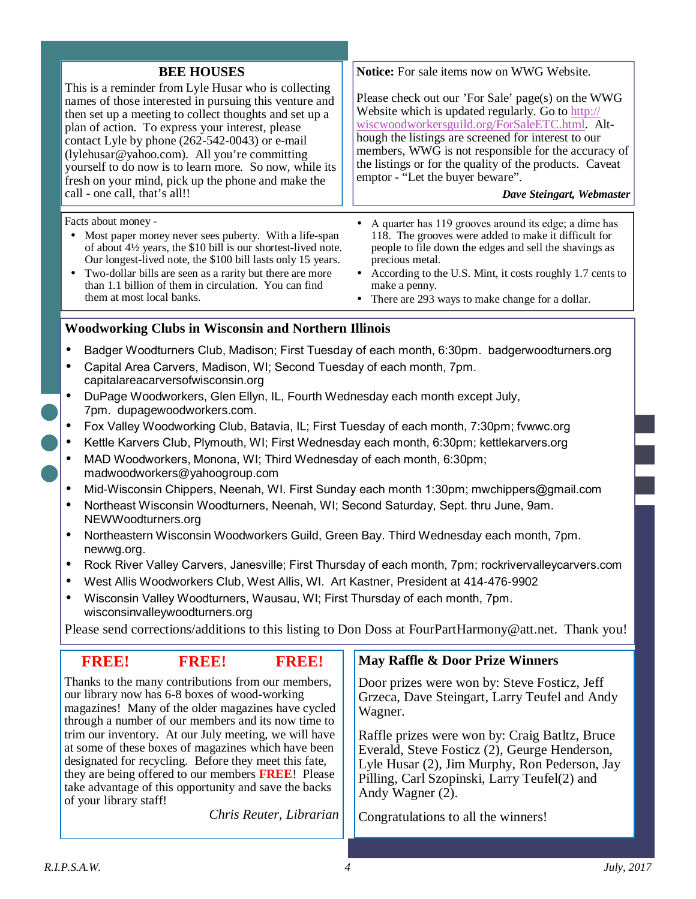| <b>BEE HOUSES</b><br>This is a reminder from Lyle Husar who is collecting<br>names of those interested in pursuing this venture and<br>then set up a meeting to collect thoughts and set up a<br>plan of action. To express your interest, please<br>contact Lyle by phone (262-542-0043) or e-mail<br>(lylehusar@yahoo.com). All you're committing<br>yourself to do now is to learn more. So now, while its<br>fresh on your mind, pick up the phone and make the<br>call - one call, that's all!!                                                                                                                                                                                                    | Notice: For sale items now on WWG Website.<br>Please check out our 'For Sale' page(s) on the WWG<br>Website which is updated regularly. Go to http://<br>wiscwoodworkersguild.org/ForSaleETC.html. Alt-<br>hough the listings are screened for interest to our<br>members, WWG is not responsible for the accuracy of<br>the listings or for the quality of the products. Caveat<br>emptor - "Let the buyer beware".<br>Dave Steingart, Webmaster |  |
|---------------------------------------------------------------------------------------------------------------------------------------------------------------------------------------------------------------------------------------------------------------------------------------------------------------------------------------------------------------------------------------------------------------------------------------------------------------------------------------------------------------------------------------------------------------------------------------------------------------------------------------------------------------------------------------------------------|---------------------------------------------------------------------------------------------------------------------------------------------------------------------------------------------------------------------------------------------------------------------------------------------------------------------------------------------------------------------------------------------------------------------------------------------------|--|
| Facts about money -<br>Most paper money never sees puberty. With a life-span<br>of about $4\frac{1}{2}$ years, the \$10 bill is our shortest-lived note.<br>Our longest-lived note, the \$100 bill lasts only 15 years.<br>Two-dollar bills are seen as a rarity but there are more<br>$\bullet$<br>than 1.1 billion of them in circulation. You can find<br>them at most local banks.                                                                                                                                                                                                                                                                                                                  | A quarter has 119 grooves around its edge; a dime has<br>$\bullet$<br>118. The grooves were added to make it difficult for<br>people to file down the edges and sell the shavings as<br>precious metal.<br>• According to the U.S. Mint, it costs roughly 1.7 cents to<br>make a penny.<br>There are 293 ways to make change for a dollar.                                                                                                        |  |
| <b>Woodworking Clubs in Wisconsin and Northern Illinois</b>                                                                                                                                                                                                                                                                                                                                                                                                                                                                                                                                                                                                                                             |                                                                                                                                                                                                                                                                                                                                                                                                                                                   |  |
| Badger Woodturners Club, Madison; First Tuesday of each month, 6:30pm. badgerwoodturners.org<br>$\bullet$<br>Capital Area Carvers, Madison, WI; Second Tuesday of each month, 7pm.<br>$\bullet$<br>capitalareacarversofwisconsin.org<br>DuPage Woodworkers, Glen Ellyn, IL, Fourth Wednesday each month except July,<br>$\bullet$<br>7pm. dupagewoodworkers.com.<br>Fox Valley Woodworking Club, Batavia, IL; First Tuesday of each month, 7:30pm; fvwwc.org<br>$\bullet$<br>Kettle Karvers Club, Plymouth, WI; First Wednesday each month, 6:30pm; kettlekarvers.org<br>$\bullet$<br>MAD Woodworkers, Monona, WI; Third Wednesday of each month, 6:30pm;<br>$\bullet$<br>madwoodworkers@yahoogroup.com |                                                                                                                                                                                                                                                                                                                                                                                                                                                   |  |
| Mid-Wisconsin Chippers, Neenah, WI. First Sunday each month 1:30pm; mwchippers@gmail.com<br>$\bullet$                                                                                                                                                                                                                                                                                                                                                                                                                                                                                                                                                                                                   |                                                                                                                                                                                                                                                                                                                                                                                                                                                   |  |
| Northeast Wisconsin Woodturners, Neenah, WI; Second Saturday, Sept. thru June, 9am.<br>$\bullet$<br>NEWWoodturners.org                                                                                                                                                                                                                                                                                                                                                                                                                                                                                                                                                                                  |                                                                                                                                                                                                                                                                                                                                                                                                                                                   |  |
| Northeastern Wisconsin Woodworkers Guild, Green Bay. Third Wednesday each month, 7pm.<br>$\bullet$<br>newwg.org.                                                                                                                                                                                                                                                                                                                                                                                                                                                                                                                                                                                        |                                                                                                                                                                                                                                                                                                                                                                                                                                                   |  |
| Rock River Valley Carvers, Janesville; First Thursday of each month, 7pm; rockrivervalleycarvers.com<br>$\bullet$                                                                                                                                                                                                                                                                                                                                                                                                                                                                                                                                                                                       |                                                                                                                                                                                                                                                                                                                                                                                                                                                   |  |

- West Allis Woodworkers Club, West Allis, WI. Art Kastner, President at 414-476-9902
- Wisconsin Valley Woodturners, Wausau, WI; First Thursday of each month, 7pm. wisconsinvalleywoodturners.org

Please send corrections/additions to this listing to Don Doss at FourPartHarmony@att.net. Thank you!

| <b>FREE</b><br><b>FREE</b><br><b>FREE</b>                                                                                                                                                                                                                                                                                                                                                                                                                                                                                                                            | May Raffle & Door Prize Winners                                                                                                                                                                                                                                                                                                                                         |
|----------------------------------------------------------------------------------------------------------------------------------------------------------------------------------------------------------------------------------------------------------------------------------------------------------------------------------------------------------------------------------------------------------------------------------------------------------------------------------------------------------------------------------------------------------------------|-------------------------------------------------------------------------------------------------------------------------------------------------------------------------------------------------------------------------------------------------------------------------------------------------------------------------------------------------------------------------|
| Thanks to the many contributions from our members,<br>our library now has 6-8 boxes of wood-working<br>magazines! Many of the older magazines have cycled<br>through a number of our members and its now time to<br>trim our inventory. At our July meeting, we will have<br>at some of these boxes of magazines which have been<br>designated for recycling. Before they meet this fate,<br>they are being offered to our members <b>FREE!</b> Please<br>take advantage of this opportunity and save the backs<br>of your library staff!<br>Chris Reuter, Librarian | Door prizes were won by: Steve Fosticz, Jeff<br>Grzeca, Dave Steingart, Larry Teufel and Andy<br>Wagner.<br>Raffle prizes were won by: Craig Batltz, Bruce<br>Everald, Steve Fosticz (2), Geurge Henderson,<br>Lyle Husar (2), Jim Murphy, Ron Pederson, Jay<br>Pilling, Carl Szopinski, Larry Teufel(2) and<br>Andy Wagner (2).<br>Congratulations to all the winners! |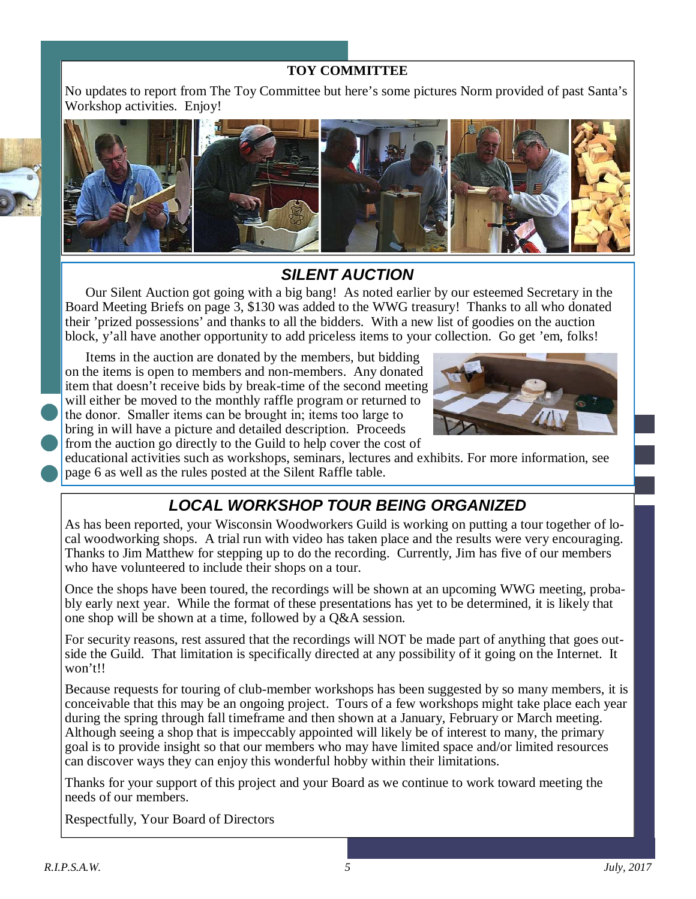### **TOY COMMITTEE**

No updates to report from The Toy Committee but here's some pictures Norm provided of past Santa's Workshop activities. Enjoy!



## **SILENT AUCTION**

Our Silent Auction got going with a big bang! As noted earlier by our esteemed Secretary in the Board Meeting Briefs on page 3, \$130 was added to the WWG treasury! Thanks to all who donated their 'prized possessions' and thanks to all the bidders. With a new list of goodies on the auction block, y'all have another opportunity to add priceless items to your collection. Go get 'em, folks!

Items in the auction are donated by the members, but bidding on the items is open to members and non-members. Any donated item that doesn't receive bids by break-time of the second meeting will either be moved to the monthly raffle program or returned to the donor. Smaller items can be brought in; items too large to bring in will have a picture and detailed description. Proceeds from the auction go directly to the Guild to help cover the cost of



educational activities such as workshops, seminars, lectures and exhibits. For more information, see page 6 as well as the rules posted at the Silent Raffle table.

# **LOCAL WORKSHOP TOUR BEING ORGANIZED**

As has been reported, your Wisconsin Woodworkers Guild is working on putting a tour together of local woodworking shops. A trial run with video has taken place and the results were very encouraging. Thanks to Jim Matthew for stepping up to do the recording. Currently, Jim has five of our members who have volunteered to include their shops on a tour.

Once the shops have been toured, the recordings will be shown at an upcoming WWG meeting, probably early next year. While the format of these presentations has yet to be determined, it is likely that one shop will be shown at a time, followed by a Q&A session.

For security reasons, rest assured that the recordings will NOT be made part of anything that goes outside the Guild. That limitation is specifically directed at any possibility of it going on the Internet. It won't!!

Because requests for touring of club-member workshops has been suggested by so many members, it is conceivable that this may be an ongoing project. Tours of a few workshops might take place each year during the spring through fall timeframe and then shown at a January, February or March meeting. Although seeing a shop that is impeccably appointed will likely be of interest to many, the primary goal is to provide insight so that our members who may have limited space and/or limited resources can discover ways they can enjoy this wonderful hobby within their limitations.

Thanks for your support of this project and your Board as we continue to work toward meeting the needs of our members.

Respectfully, Your Board of Directors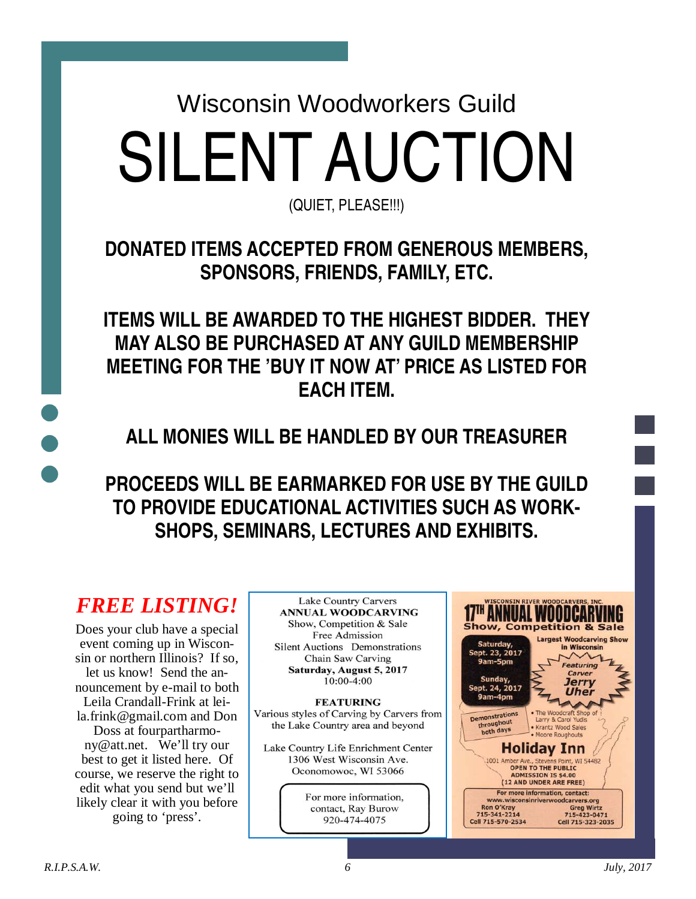Wisconsin Woodworkers Guild SILENT AUCTION

(QUIET, PLEASE!!!)

**DONATED ITEMS ACCEPTED FROM GENEROUS MEMBERS, SPONSORS, FRIENDS, FAMILY, ETC.** 

**ITEMS WILL BE AWARDED TO THE HIGHEST BIDDER. THEY MAY ALSO BE PURCHASED AT ANY GUILD MEMBERSHIP MEETING FOR THE 'BUY IT NOW AT' PRICE AS LISTED FOR EACH ITEM.** 

**ALL MONIES WILL BE HANDLED BY OUR TREASURER** 

**PROCEEDS WILL BE EARMARKED FOR USE BY THE GUILD TO PROVIDE EDUCATIONAL ACTIVITIES SUCH AS WORK-SHOPS, SEMINARS, LECTURES AND EXHIBITS.** 

# *FREE LISTING!*

Does your club have a special event coming up in Wisconsin or northern Illinois? If so, let us know! Send the announcement by e-mail to both Leila Crandall-Frink at leila.frink@gmail.com and Don Doss at fourpartharmony@att.net. We'll try our best to get it listed here. Of course, we reserve the right to edit what you send but we'll likely clear it with you before going to 'press'.

**Lake Country Carvers ANNUAL WOODCARVING** Show, Competition & Sale Free Admission **Silent Auctions** Demonstrations Chain Saw Carving Saturday, August 5, 2017  $10:00-4:00$ 

**FEATURING** Various styles of Carving by Carvers from the Lake Country area and beyond

Lake Country Life Enrichment Center 1306 West Wisconsin Ave. Oconomowoc, WI 53066

> For more information, contact, Ray Burow 920-474-4075

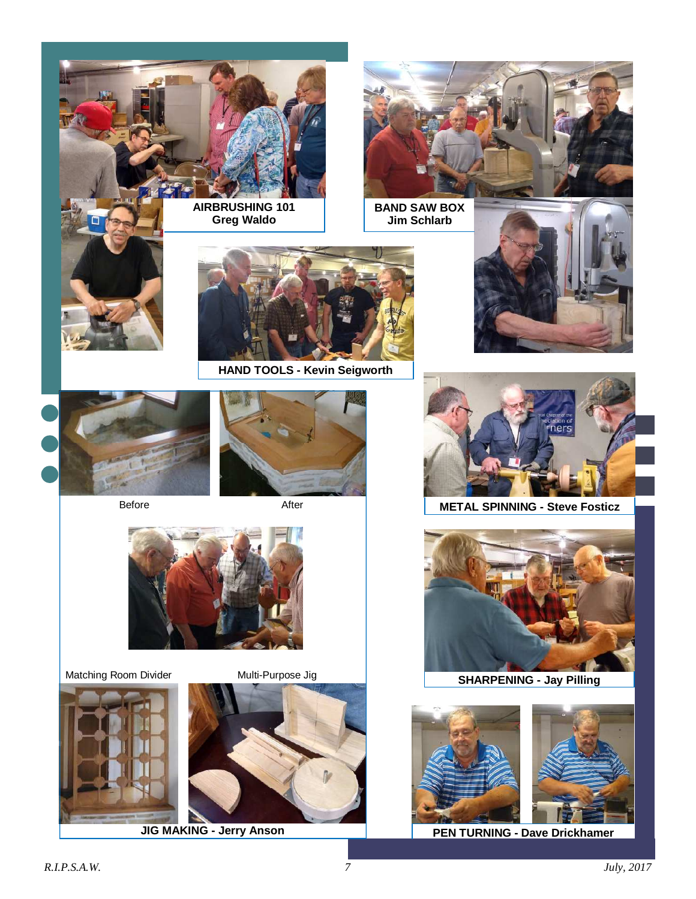

**AIRBRUSHING 101 Greg Waldo** 



**BAND SAW BOX Jim Schlarb** 





**HAND TOOLS - Kevin Seigworth** 





Before



After



Matching Room Divider Multi-Purpose Jig







**METAL SPINNING - Steve Fosticz** 



**SHARPENING - Jay Pilling** 





**JIG MAKING - Jerry Anson PEN TURNING - Dave Drickhamer**